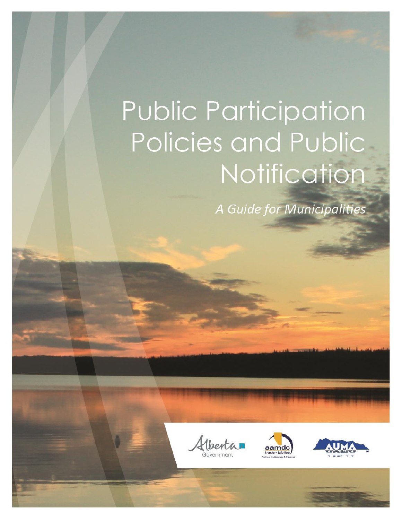# Public Participation Policies and Public Notification

A Guide for Municipalities





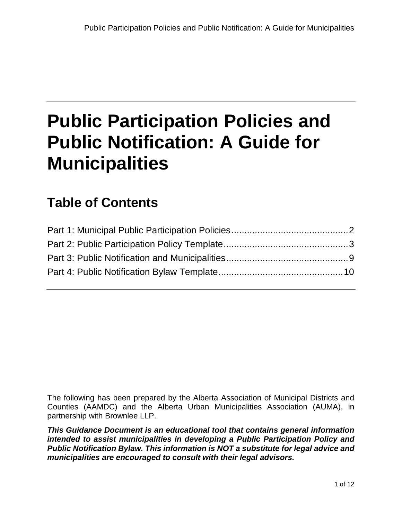## **Public Participation Policies and Public Notification: A Guide for Municipalities**

## **Table of Contents**

The following has been prepared by the Alberta Association of Municipal Districts and Counties (AAMDC) and the Alberta Urban Municipalities Association (AUMA), in partnership with Brownlee LLP.

*This Guidance Document is an educational tool that contains general information intended to assist municipalities in developing a Public Participation Policy and Public Notification Bylaw. This information is NOT a substitute for legal advice and municipalities are encouraged to consult with their legal advisors.*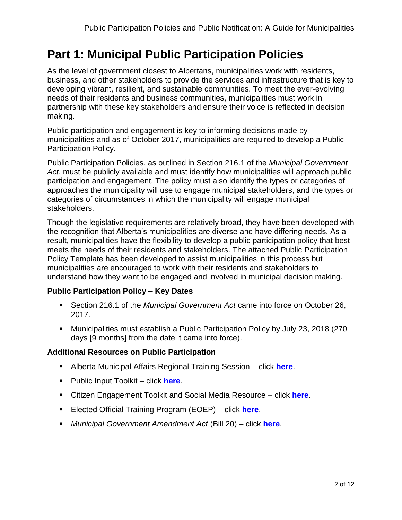## <span id="page-2-0"></span>**Part 1: Municipal Public Participation Policies**

As the level of government closest to Albertans, municipalities work with residents, business, and other stakeholders to provide the services and infrastructure that is key to developing vibrant, resilient, and sustainable communities. To meet the ever-evolving needs of their residents and business communities, municipalities must work in partnership with these key stakeholders and ensure their voice is reflected in decision making.

Public participation and engagement is key to informing decisions made by municipalities and as of October 2017, municipalities are required to develop a Public Participation Policy.

Public Participation Policies, as outlined in Section 216.1 of the *Municipal Government Act*, must be publicly available and must identify how municipalities will approach public participation and engagement. The policy must also identify the types or categories of approaches the municipality will use to engage municipal stakeholders, and the types or categories of circumstances in which the municipality will engage municipal stakeholders.

Though the legislative requirements are relatively broad, they have been developed with the recognition that Alberta's municipalities are diverse and have differing needs. As a result, municipalities have the flexibility to develop a public participation policy that best meets the needs of their residents and stakeholders. The attached Public Participation Policy Template has been developed to assist municipalities in this process but municipalities are encouraged to work with their residents and stakeholders to understand how they want to be engaged and involved in municipal decision making.

#### **Public Participation Policy – Key Dates**

- Section 216.1 of the *Municipal Government Act* came into force on October 26, 2017.
- Municipalities must establish a Public Participation Policy by July 23, 2018 (270 days [9 months] from the date it came into force).

#### **Additional Resources on Public Participation**

- Alberta Municipal Affairs Regional Training Session click **[here](http://www.municipalaffairs.alberta.ca/online-event-registration?fuseaction=EventRegistration&EVENT_ID=181)**.
- Public Input Toolkit click **[here](http://www.municipalaffairs.alberta.ca/documents/MDRS/AMA_Public_Input_Toolkit_Sept2014.pdf)**.
- Citizen Engagement Toolkit and Social Media Resource click **[here](https://auma.ca/advocacy-services/programs-initiatives/citizen-engagement-toolkit-social-media-resource-guide)**.
- Elected Official Training Program (EOEP) click **[here](http://www.eoep.ca/)**.
- *Municipal Government Amendment Act* (Bill 20) click **[here](http://www.assembly.ab.ca/ISYS/LADDAR_files/docs/bills/bill/legislature_28/session_3/20141117_bill-020.pdf)**.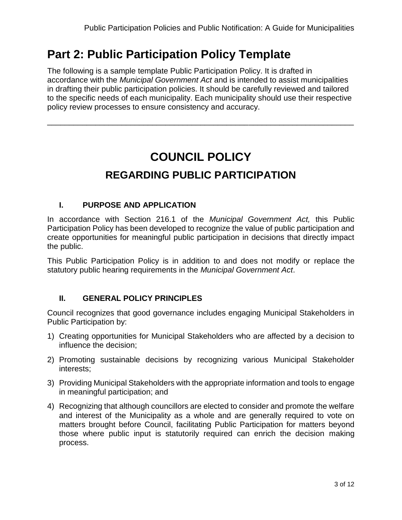## <span id="page-3-0"></span>**Part 2: Public Participation Policy Template**

The following is a sample template Public Participation Policy. It is drafted in accordance with the *Municipal Government Act* and is intended to assist municipalities in drafting their public participation policies. It should be carefully reviewed and tailored to the specific needs of each municipality. Each municipality should use their respective policy review processes to ensure consistency and accuracy.

\_\_\_\_\_\_\_\_\_\_\_\_\_\_\_\_\_\_\_\_\_\_\_\_\_\_\_\_\_\_\_\_\_\_\_\_\_\_\_\_\_\_\_\_\_\_\_\_\_\_\_\_\_\_\_\_\_\_\_\_\_\_\_\_\_\_\_\_\_\_

## **COUNCIL POLICY REGARDING PUBLIC PARTICIPATION**

#### **I. PURPOSE AND APPLICATION**

In accordance with Section 216.1 of the *Municipal Government Act,* this Public Participation Policy has been developed to recognize the value of public participation and create opportunities for meaningful public participation in decisions that directly impact the public.

This Public Participation Policy is in addition to and does not modify or replace the statutory public hearing requirements in the *Municipal Government Act*.

#### **II. GENERAL POLICY PRINCIPLES**

Council recognizes that good governance includes engaging Municipal Stakeholders in Public Participation by:

- 1) Creating opportunities for Municipal Stakeholders who are affected by a decision to influence the decision;
- 2) Promoting sustainable decisions by recognizing various Municipal Stakeholder interests;
- 3) Providing Municipal Stakeholders with the appropriate information and tools to engage in meaningful participation; and
- 4) Recognizing that although councillors are elected to consider and promote the welfare and interest of the Municipality as a whole and are generally required to vote on matters brought before Council, facilitating Public Participation for matters beyond those where public input is statutorily required can enrich the decision making process.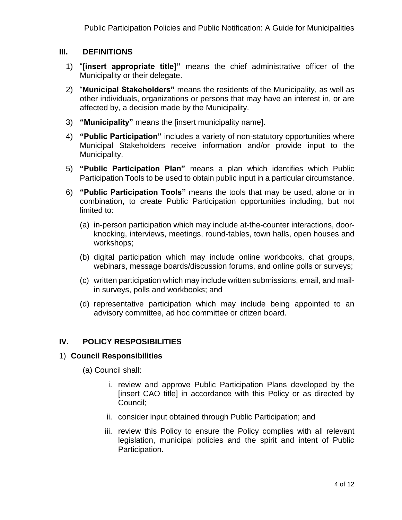#### **III. DEFINITIONS**

- 1) "**[insert appropriate title]"** means the chief administrative officer of the Municipality or their delegate.
- 2) "**Municipal Stakeholders"** means the residents of the Municipality, as well as other individuals, organizations or persons that may have an interest in, or are affected by, a decision made by the Municipality.
- 3) **"Municipality"** means the [insert municipality name].
- 4) **"Public Participation"** includes a variety of non-statutory opportunities where Municipal Stakeholders receive information and/or provide input to the Municipality.
- 5) **"Public Participation Plan"** means a plan which identifies which Public Participation Tools to be used to obtain public input in a particular circumstance.
- 6) **"Public Participation Tools"** means the tools that may be used, alone or in combination, to create Public Participation opportunities including, but not limited to:
	- (a) in-person participation which may include at-the-counter interactions, doorknocking, interviews, meetings, round-tables, town halls, open houses and workshops;
	- (b) digital participation which may include online workbooks, chat groups, webinars, message boards/discussion forums, and online polls or surveys;
	- (c) written participation which may include written submissions, email, and mailin surveys, polls and workbooks; and
	- (d) representative participation which may include being appointed to an advisory committee, ad hoc committee or citizen board.

#### **IV. POLICY RESPOSIBILITIES**

#### 1) **Council Responsibilities**

- (a) Council shall:
	- i. review and approve Public Participation Plans developed by the [insert CAO title] in accordance with this Policy or as directed by Council;
	- ii. consider input obtained through Public Participation; and
	- iii. review this Policy to ensure the Policy complies with all relevant legislation, municipal policies and the spirit and intent of Public Participation.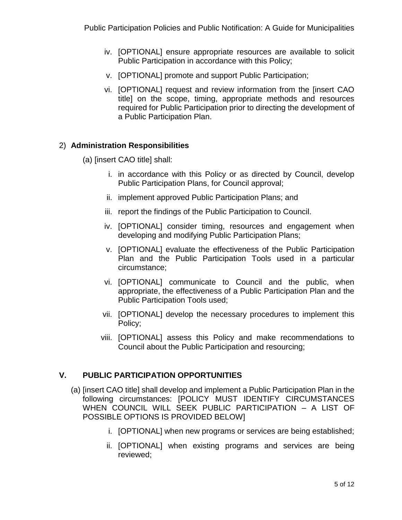- iv. [OPTIONAL] ensure appropriate resources are available to solicit Public Participation in accordance with this Policy;
- v. [OPTIONAL] promote and support Public Participation;
- vi. [OPTIONAL] request and review information from the [insert CAO title] on the scope, timing, appropriate methods and resources required for Public Participation prior to directing the development of a Public Participation Plan.

#### 2) **Administration Responsibilities**

- (a) [insert CAO title] shall:
	- i. in accordance with this Policy or as directed by Council, develop Public Participation Plans, for Council approval;
	- ii. implement approved Public Participation Plans; and
	- iii. report the findings of the Public Participation to Council.
	- iv. [OPTIONAL] consider timing, resources and engagement when developing and modifying Public Participation Plans;
	- v. [OPTIONAL] evaluate the effectiveness of the Public Participation Plan and the Public Participation Tools used in a particular circumstance;
	- vi. [OPTIONAL] communicate to Council and the public, when appropriate, the effectiveness of a Public Participation Plan and the Public Participation Tools used;
	- vii. [OPTIONAL] develop the necessary procedures to implement this Policy;
	- viii. [OPTIONAL] assess this Policy and make recommendations to Council about the Public Participation and resourcing;

#### **V. PUBLIC PARTICIPATION OPPORTUNITIES**

- (a) [insert CAO title] shall develop and implement a Public Participation Plan in the following circumstances: [POLICY MUST IDENTIFY CIRCUMSTANCES WHEN COUNCIL WILL SEEK PUBLIC PARTICIPATION – A LIST OF POSSIBLE OPTIONS IS PROVIDED BELOW]
	- i. [OPTIONAL] when new programs or services are being established;
	- ii. [OPTIONAL] when existing programs and services are being reviewed;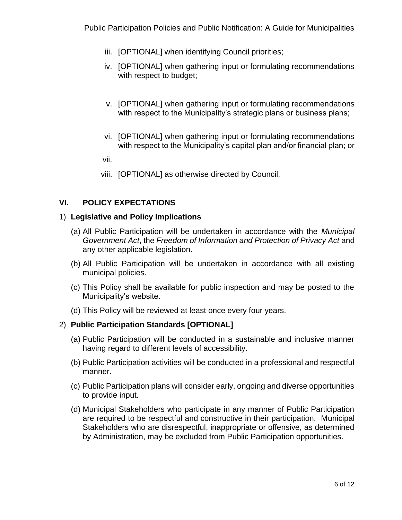- iii. [OPTIONAL] when identifying Council priorities;
- iv. [OPTIONAL] when gathering input or formulating recommendations with respect to budget;
- v. [OPTIONAL] when gathering input or formulating recommendations with respect to the Municipality's strategic plans or business plans;
- vi. [OPTIONAL] when gathering input or formulating recommendations with respect to the Municipality's capital plan and/or financial plan; or
- vii.
- viii. [OPTIONAL] as otherwise directed by Council.

#### **VI. POLICY EXPECTATIONS**

#### 1) **Legislative and Policy Implications**

- (a) All Public Participation will be undertaken in accordance with the *Municipal Government Act*, the *Freedom of Information and Protection of Privacy Act* and any other applicable legislation.
- (b) All Public Participation will be undertaken in accordance with all existing municipal policies.
- (c) This Policy shall be available for public inspection and may be posted to the Municipality's website.
- (d) This Policy will be reviewed at least once every four years.

#### 2) **Public Participation Standards [OPTIONAL]**

- (a) Public Participation will be conducted in a sustainable and inclusive manner having regard to different levels of accessibility.
- (b) Public Participation activities will be conducted in a professional and respectful manner.
- (c) Public Participation plans will consider early, ongoing and diverse opportunities to provide input.
- (d) Municipal Stakeholders who participate in any manner of Public Participation are required to be respectful and constructive in their participation. Municipal Stakeholders who are disrespectful, inappropriate or offensive, as determined by Administration, may be excluded from Public Participation opportunities.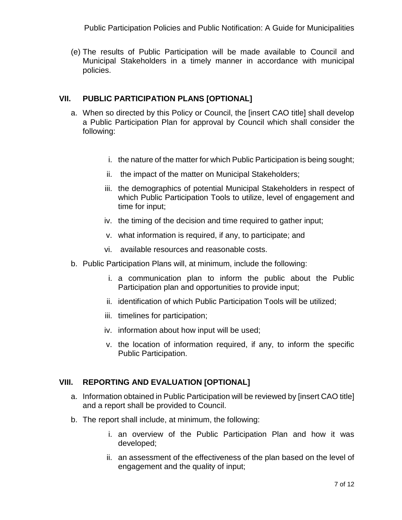Public Participation Policies and Public Notification: A Guide for Municipalities

(e) The results of Public Participation will be made available to Council and Municipal Stakeholders in a timely manner in accordance with municipal policies.

#### **VII. PUBLIC PARTICIPATION PLANS [OPTIONAL]**

- a. When so directed by this Policy or Council, the [insert CAO title] shall develop a Public Participation Plan for approval by Council which shall consider the following:
	- i. the nature of the matter for which Public Participation is being sought;
	- ii. the impact of the matter on Municipal Stakeholders;
	- iii. the demographics of potential Municipal Stakeholders in respect of which Public Participation Tools to utilize, level of engagement and time for input;
	- iv. the timing of the decision and time required to gather input;
	- v. what information is required, if any, to participate; and
	- vi. available resources and reasonable costs.
- b. Public Participation Plans will, at minimum, include the following:
	- i. a communication plan to inform the public about the Public Participation plan and opportunities to provide input;
	- ii. identification of which Public Participation Tools will be utilized;
	- iii. timelines for participation;
	- iv. information about how input will be used;
	- v. the location of information required, if any, to inform the specific Public Participation.

#### **VIII. REPORTING AND EVALUATION [OPTIONAL]**

- a. Information obtained in Public Participation will be reviewed by [insert CAO title] and a report shall be provided to Council.
- b. The report shall include, at minimum, the following:
	- i. an overview of the Public Participation Plan and how it was developed;
	- ii. an assessment of the effectiveness of the plan based on the level of engagement and the quality of input;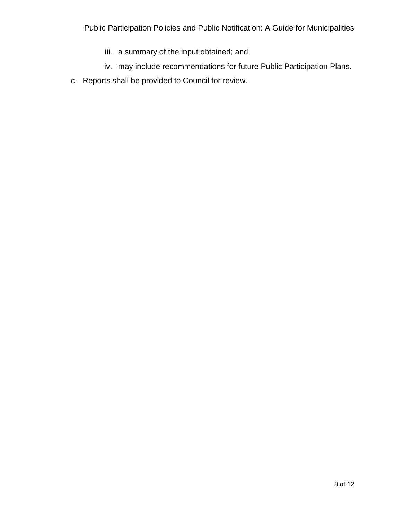- iii. a summary of the input obtained; and
- iv. may include recommendations for future Public Participation Plans.
- c. Reports shall be provided to Council for review.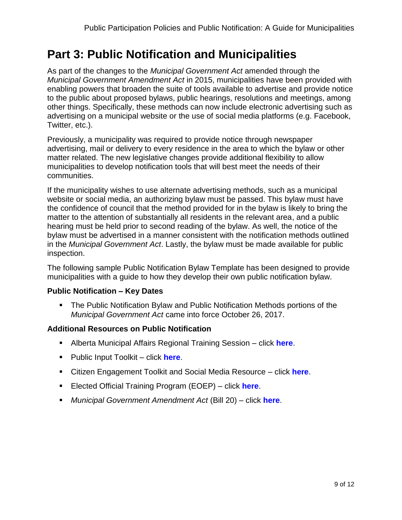## <span id="page-9-0"></span>**Part 3: Public Notification and Municipalities**

As part of the changes to the *Municipal Government Act* amended through the *Municipal Government Amendment Act* in 2015, municipalities have been provided with enabling powers that broaden the suite of tools available to advertise and provide notice to the public about proposed bylaws, public hearings, resolutions and meetings, among other things. Specifically, these methods can now include electronic advertising such as advertising on a municipal website or the use of social media platforms (e.g. Facebook, Twitter, etc.).

Previously, a municipality was required to provide notice through newspaper advertising, mail or delivery to every residence in the area to which the bylaw or other matter related. The new legislative changes provide additional flexibility to allow municipalities to develop notification tools that will best meet the needs of their communities.

If the municipality wishes to use alternate advertising methods, such as a municipal website or social media, an authorizing bylaw must be passed. This bylaw must have the confidence of council that the method provided for in the bylaw is likely to bring the matter to the attention of substantially all residents in the relevant area, and a public hearing must be held prior to second reading of the bylaw. As well, the notice of the bylaw must be advertised in a manner consistent with the notification methods outlined in the *Municipal Government Act*. Lastly, the bylaw must be made available for public inspection.

The following sample Public Notification Bylaw Template has been designed to provide municipalities with a guide to how they develop their own public notification bylaw.

#### **Public Notification – Key Dates**

▪ The Public Notification Bylaw and Public Notification Methods portions of the *Municipal Government Act* came into force October 26, 2017.

#### **Additional Resources on Public Notification**

- Alberta Municipal Affairs Regional Training Session click **[here](http://www.municipalaffairs.alberta.ca/online-event-registration?fuseaction=EventRegistration&EVENT_ID=181)**.
- Public Input Toolkit click **[here](http://www.municipalaffairs.alberta.ca/documents/MDRS/AMA_Public_Input_Toolkit_Sept2014.pdf)**.
- Citizen Engagement Toolkit and Social Media Resource click **[here](https://auma.ca/advocacy-services/programs-initiatives/citizen-engagement-toolkit-social-media-resource-guide)**.
- Elected Official Training Program (EOEP) click **[here](http://www.eoep.ca/)**.
- *Municipal Government Amendment Act* (Bill 20) click **[here](http://www.assembly.ab.ca/ISYS/LADDAR_files/docs/bills/bill/legislature_28/session_3/20141117_bill-020.pdf)**.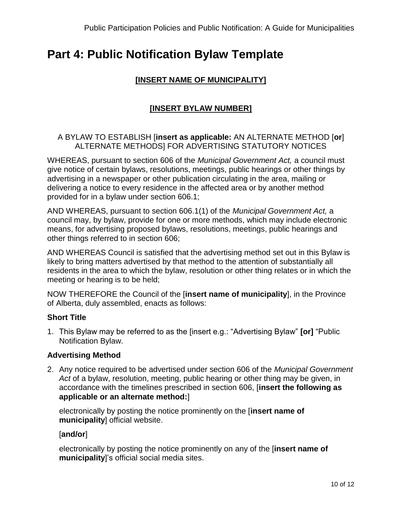## <span id="page-10-0"></span>**Part 4: Public Notification Bylaw Template**

#### **[INSERT NAME OF MUNICIPALITY]**

#### **[INSERT BYLAW NUMBER]**

#### A BYLAW TO ESTABLISH [**insert as applicable:** AN ALTERNATE METHOD [**or**] ALTERNATE METHODS] FOR ADVERTISING STATUTORY NOTICES

WHEREAS, pursuant to section 606 of the *Municipal Government Act,* a council must give notice of certain bylaws, resolutions, meetings, public hearings or other things by advertising in a newspaper or other publication circulating in the area, mailing or delivering a notice to every residence in the affected area or by another method provided for in a bylaw under section 606.1;

AND WHEREAS, pursuant to section 606.1(1) of the *Municipal Government Act,* a council may, by bylaw, provide for one or more methods, which may include electronic means, for advertising proposed bylaws, resolutions, meetings, public hearings and other things referred to in section 606;

AND WHEREAS Council is satisfied that the advertising method set out in this Bylaw is likely to bring matters advertised by that method to the attention of substantially all residents in the area to which the bylaw, resolution or other thing relates or in which the meeting or hearing is to be held;

NOW THEREFORE the Council of the [**insert name of municipality**], in the Province of Alberta, duly assembled, enacts as follows:

#### **Short Title**

1. This Bylaw may be referred to as the [insert e.g.: "Advertising Bylaw" **[or]** "Public Notification Bylaw.

#### **Advertising Method**

2. Any notice required to be advertised under section 606 of the *Municipal Government Act* of a bylaw, resolution, meeting, public hearing or other thing may be given, in accordance with the timelines prescribed in section 606, [**insert the following as applicable or an alternate method:**]

electronically by posting the notice prominently on the [**insert name of municipality**] official website.

[**and/or**]

electronically by posting the notice prominently on any of the [**insert name of municipality**]'s official social media sites.